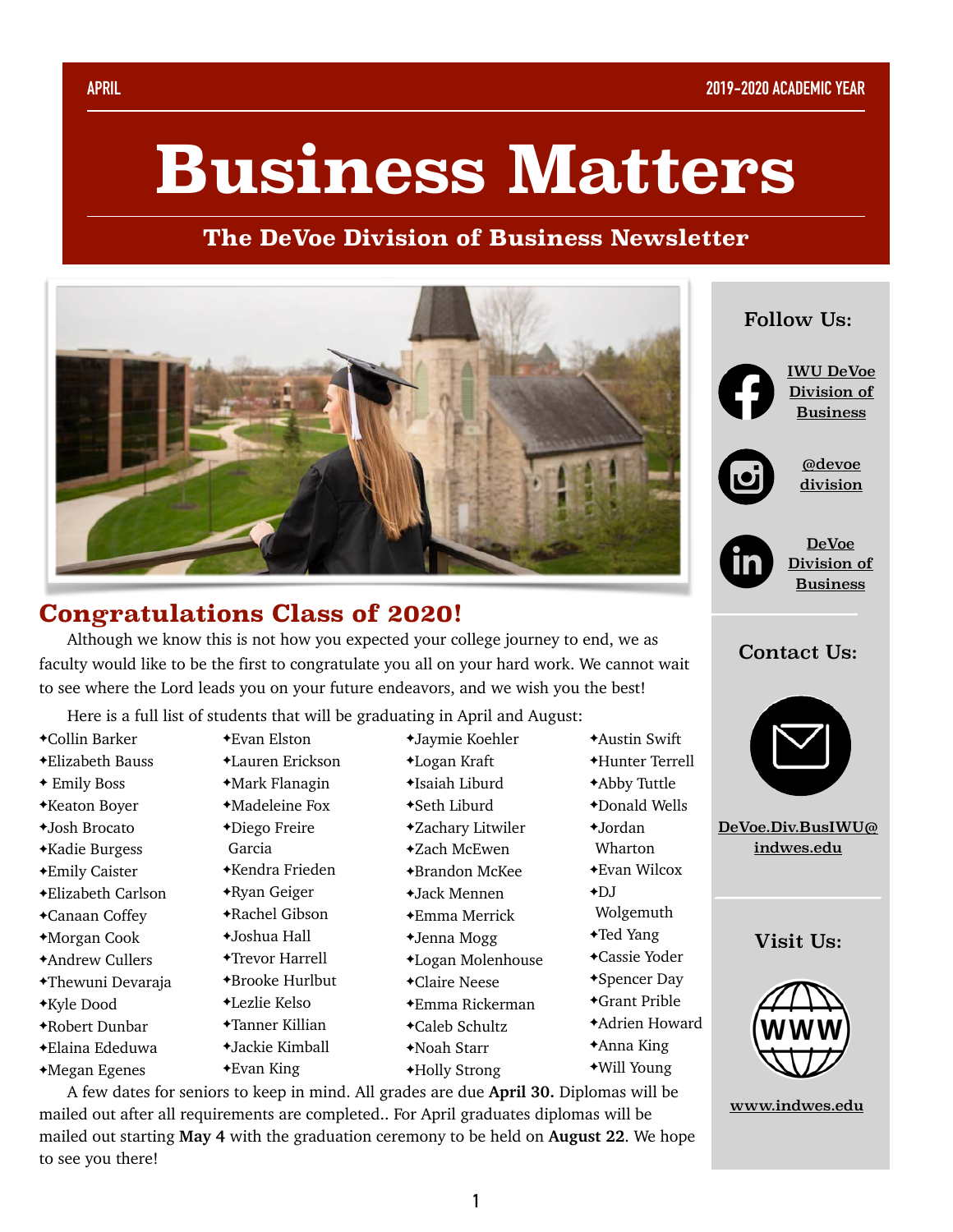# **Business Matters**

### **The DeVoe Division of Business Newsletter**



## **Congratulations Class of 2020!**

Although we know this is not how you expected your college journey to end, we as faculty would like to be the first to congratulate you all on your hard work. We cannot wait to see where the Lord leads you on your future endeavors, and we wish you the best!

Here is a full list of students that will be graduating in April and August:

- ✦Collin Barker
- ✦Elizabeth Bauss
- ✦ Emily Boss
- ✦Keaton Boyer
- ✦Josh Brocato
- ✦Kadie Burgess
- ✦Emily Caister
- ✦Elizabeth Carlson
- ✦Canaan Coffey
- ✦Morgan Cook
- ✦Andrew Cullers
- ✦Thewuni Devaraja
- ✦Kyle Dood
- ✦Robert Dunbar
- ✦Elaina Ededuwa
- ✦Megan Egenes
- ✦Evan Elston ✦Lauren Erickson
- ✦Mark Flanagin
- ✦Madeleine Fox
- ✦Diego Freire
- Garcia
- ✦Kendra Frieden
- ✦Ryan Geiger
- ✦Rachel Gibson
- ✦Joshua Hall
- ✦Trevor Harrell
- ✦Brooke Hurlbut
- ✦Lezlie Kelso
- ✦Tanner Killian
- ✦Jackie Kimball
- ✦Evan King
- ✦Jaymie Koehler ✦Logan Kraft
- ✦Isaiah Liburd
- ✦Seth Liburd
- ✦Zachary Litwiler
- ✦Zach McEwen
- ✦Brandon McKee
- ✦Jack Mennen
- ✦Emma Merrick
- ✦Jenna Mogg
- ✦Logan Molenhouse
- ✦Claire Neese
- ✦Emma Rickerman
- ✦Caleb Schultz
- ✦Noah Starr
- ✦Holly Strong

✦Hunter Terrell ✦Abby Tuttle

✦Austin Swift

- ✦Donald Wells
- ✦Jordan
- Wharton
- ✦Evan Wilcox
- $+DI$
- Wolgemuth
- ✦Ted Yang
- ✦Cassie Yoder
- ✦Spencer Day ✦Grant Prible
- ✦Adrien Howard
- 
- ✦Anna King
- ✦Will Young

A few dates for seniors to keep in mind. All grades are due **April 30.** Diplomas will be mailed out after all requirements are completed.. For April graduates diplomas will be mailed out starting **May 4** with the graduation ceremony to be held on **August 22**. We hope to see you there!



Follow Us:

[IWU DeVoe](https://www.facebook.com/IWUBusinessDivision/?ref=bookmarks)  [Division of](https://www.facebook.com/IWUBusinessDivision/?ref=bookmarks)  [Business](https://www.facebook.com/IWUBusinessDivision/?ref=bookmarks)



[@devoe](https://www.instagram.com/devoedivision/?hl=en) [division](https://www.instagram.com/devoedivision/?hl=en)



[DeVoe](https://www.linkedin.com/company/iwu-devoe-division-of-business/?viewAsMember=true)  [Division of](https://www.linkedin.com/company/iwu-devoe-division-of-business/?viewAsMember=true)  [Business](https://www.linkedin.com/company/iwu-devoe-division-of-business/?viewAsMember=true)

#### Contact Us:



[DeVoe.Div.BusIWU@](mailto:DeVoe.Div.BusIWU@indwes.edu) [indwes.edu](mailto:DeVoe.Div.BusIWU@indwes.edu)

#### Visit Us:



[www.indwes.edu](https://www.indwes.edu/undergraduate/division-of-business/)

**1**

- 
-